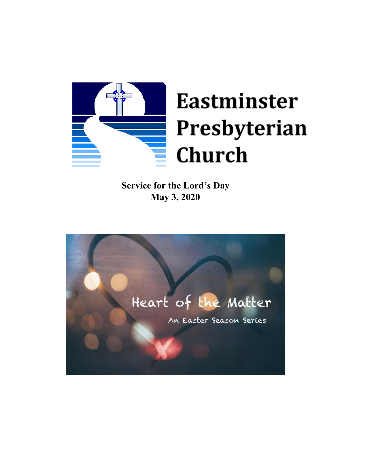

**Service for the Lord's Day May 3, 2020**

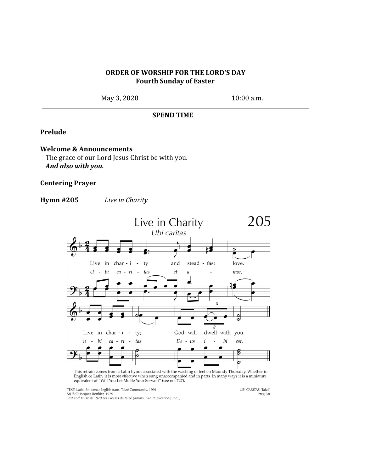## **ORDER OF WORSHIP FOR THE LORD'S DAY Fourth Sunday of Easter**

May 3, 2020 10:00 a.m.

#### **SPEND TIME**

## **Prelude**

## **Welcome & Announcements**

The grace of our Lord Jesus Christ be with you. *And also with you.*

#### **Centering Prayer**

**Hymn #205** *Live in Charity*



This refrain comes from a Latin hymn associated with the washing of feet on Maundy Thursday. Whether in English or Latin, it is most effective when sung unaccompanied and in parts. In many ways it is a miniature equivalent

**UBI CARITAS (Taizé)** *Irregular*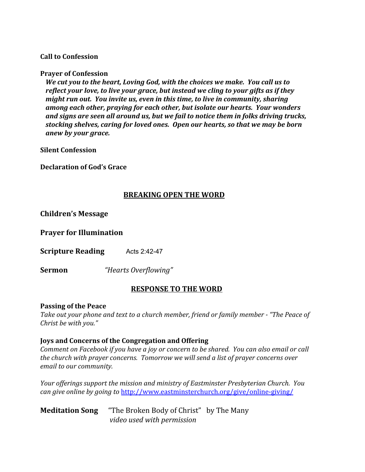## **Call to Confession**

#### **Prayer of Confession**

*We cut you to the heart, Loving God, with the choices we make. You call us to reflect your love, to live your grace, but instead we cling to your gifts as if they might run out. You invite us, even in this time, to live in community, sharing among each other, praying for each other, but isolate our hearts. Your wonders and signs are seen all around us, but we fail to notice them in folks driving trucks, stocking shelves, caring for loved ones. Open our hearts, so that we may be born anew by your grace.*

**Silent Confession**

**Declaration of God's Grace** 

## **BREAKING OPEN THE WORD**

## **Children's Message**

**Prayer for Illumination**

**Scripture Reading** Acts 2:42-47

**Sermon** *"Hearts Overflowing"*

# **RESPONSE TO THE WORD**

#### **Passing of the Peace**

*Take out your phone and text to a church member, friend or family member - "The Peace of Christ be with you."*

#### **Joys and Concerns of the Congregation and Offering**

*Comment on Facebook if you have a joy or concern to be shared. You can also email or call the church with prayer concerns. Tomorrow we will send a list of prayer concerns over email to our community.*

*Your offerings support the mission and ministry of Eastminster Presbyterian Church. You can give online by going to* <http://www.eastminsterchurch.org/give/online-giving/>

**Meditation Song** "The Broken Body of Christ" by The Many *video used with permission*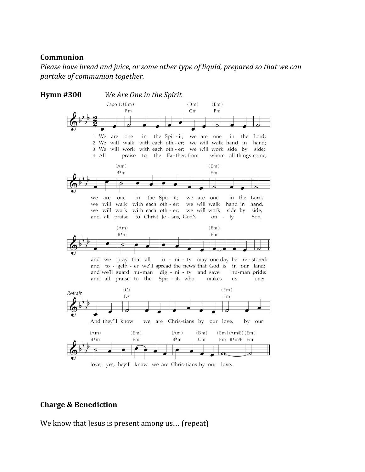## **Communion**

*Please have bread and juice, or some other type of liquid, prepared so that we can partake of communion together.*



## **Charge & Benediction**

We know that Jesus is present among us... (repeat)